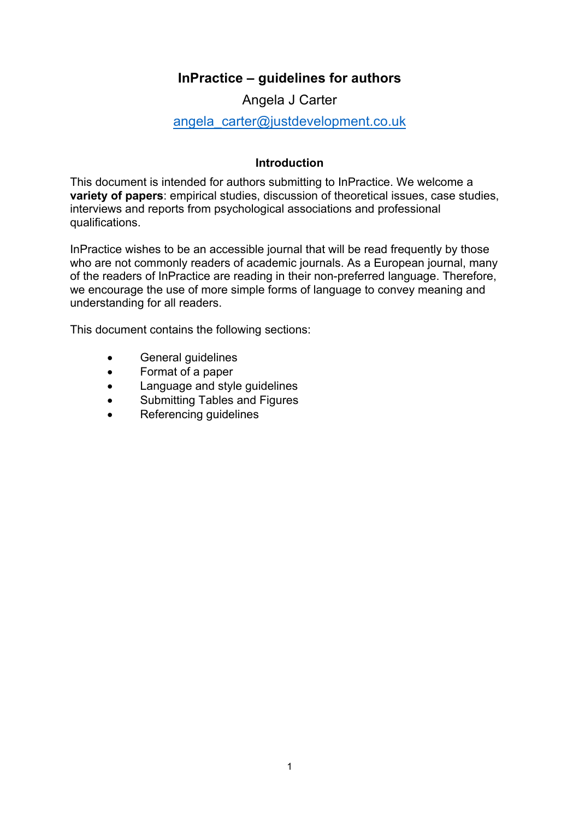# **InPractice – guidelines for authors**

Angela J Carter

# angela carter@justdevelopment.co.uk

# **Introduction**

This document is intended for authors submitting to InPractice. We welcome a **variety of papers**: empirical studies, discussion of theoretical issues, case studies, interviews and reports from psychological associations and professional qualifications.

InPractice wishes to be an accessible journal that will be read frequently by those who are not commonly readers of academic journals. As a European journal, many of the readers of InPractice are reading in their non-preferred language. Therefore, we encourage the use of more simple forms of language to convey meaning and understanding for all readers.

This document contains the following sections:

- General guidelines
- Format of a paper
- Language and style guidelines
- Submitting Tables and Figures
- Referencing guidelines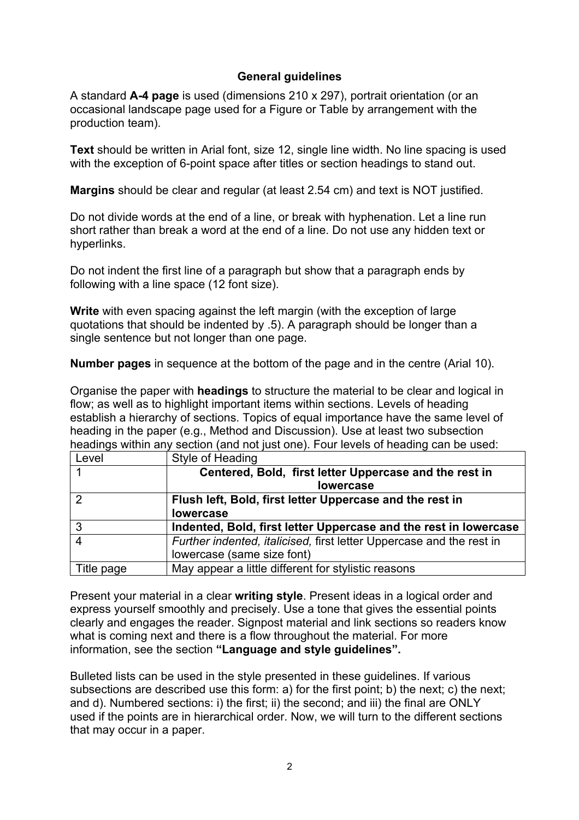# **General guidelines**

A standard **A-4 page** is used (dimensions 210 x 297), portrait orientation (or an occasional landscape page used for a Figure or Table by arrangement with the production team).

**Text** should be written in Arial font, size 12, single line width. No line spacing is used with the exception of 6-point space after titles or section headings to stand out.

**Margins** should be clear and regular (at least 2.54 cm) and text is NOT justified.

Do not divide words at the end of a line, or break with hyphenation. Let a line run short rather than break a word at the end of a line. Do not use any hidden text or hyperlinks.

Do not indent the first line of a paragraph but show that a paragraph ends by following with a line space (12 font size).

**Write** with even spacing against the left margin (with the exception of large quotations that should be indented by .5). A paragraph should be longer than a single sentence but not longer than one page.

**Number pages** in sequence at the bottom of the page and in the centre (Arial 10).

Organise the paper with **headings** to structure the material to be clear and logical in flow; as well as to highlight important items within sections. Levels of heading establish a hierarchy of sections. Topics of equal importance have the same level of heading in the paper (e.g., Method and Discussion). Use at least two subsection headings within any section (and not just one). Four levels of heading can be used:

| Level      | Style of Heading                                                     |
|------------|----------------------------------------------------------------------|
|            | Centered, Bold, first letter Uppercase and the rest in               |
|            | lowercase                                                            |
|            | Flush left, Bold, first letter Uppercase and the rest in             |
|            | <b>lowercase</b>                                                     |
| 3          | Indented, Bold, first letter Uppercase and the rest in lowercase     |
|            | Further indented, italicised, first letter Uppercase and the rest in |
|            | lowercase (same size font)                                           |
| Title page | May appear a little different for stylistic reasons                  |

Present your material in a clear **writing style**. Present ideas in a logical order and express yourself smoothly and precisely. Use a tone that gives the essential points clearly and engages the reader. Signpost material and link sections so readers know what is coming next and there is a flow throughout the material. For more information, see the section **"Language and style guidelines".**

Bulleted lists can be used in the style presented in these guidelines. If various subsections are described use this form: a) for the first point; b) the next; c) the next; and d). Numbered sections: i) the first; ii) the second; and iii) the final are ONLY used if the points are in hierarchical order. Now, we will turn to the different sections that may occur in a paper.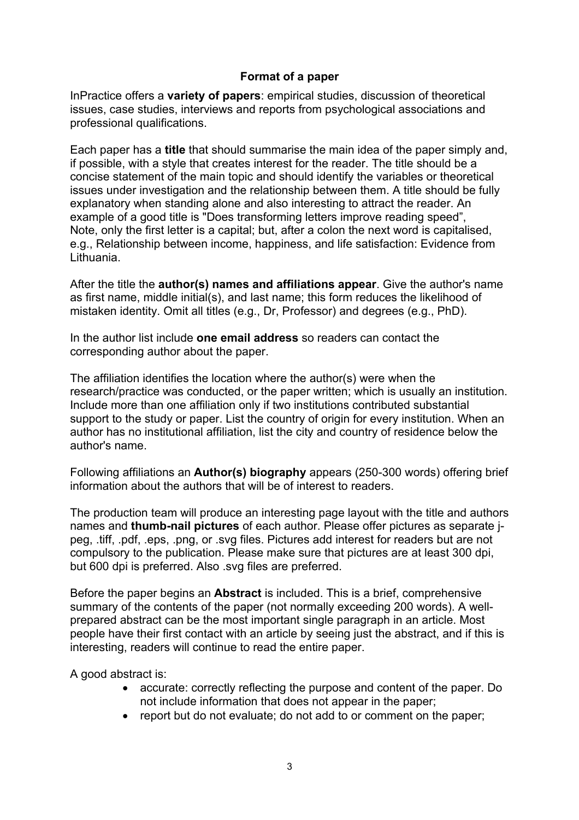# **Format of a paper**

InPractice offers a **variety of papers**: empirical studies, discussion of theoretical issues, case studies, interviews and reports from psychological associations and professional qualifications.

Each paper has a **title** that should summarise the main idea of the paper simply and, if possible, with a style that creates interest for the reader. The title should be a concise statement of the main topic and should identify the variables or theoretical issues under investigation and the relationship between them. A title should be fully explanatory when standing alone and also interesting to attract the reader. An example of a good title is "Does transforming letters improve reading speed", Note, only the first letter is a capital; but, after a colon the next word is capitalised, e.g., Relationship between income, happiness, and life satisfaction: Evidence from Lithuania.

After the title the **author(s) names and affiliations appear**. Give the author's name as first name, middle initial(s), and last name; this form reduces the likelihood of mistaken identity. Omit all titles (e.g., Dr, Professor) and degrees (e.g., PhD).

In the author list include **one email address** so readers can contact the corresponding author about the paper.

The affiliation identifies the location where the author(s) were when the research/practice was conducted, or the paper written; which is usually an institution. Include more than one affiliation only if two institutions contributed substantial support to the study or paper. List the country of origin for every institution. When an author has no institutional affiliation, list the city and country of residence below the author's name.

Following affiliations an **Author(s) biography** appears (250-300 words) offering brief information about the authors that will be of interest to readers.

The production team will produce an interesting page layout with the title and authors names and **thumb-nail pictures** of each author. Please offer pictures as separate jpeg, .tiff, .pdf, .eps, .png, or .svg files. Pictures add interest for readers but are not compulsory to the publication. Please make sure that pictures are at least 300 dpi, but 600 dpi is preferred. Also .svg files are preferred.

Before the paper begins an **Abstract** is included. This is a brief, comprehensive summary of the contents of the paper (not normally exceeding 200 words). A wellprepared abstract can be the most important single paragraph in an article. Most people have their first contact with an article by seeing just the abstract, and if this is interesting, readers will continue to read the entire paper.

A good abstract is:

- accurate: correctly reflecting the purpose and content of the paper. Do not include information that does not appear in the paper;
- report but do not evaluate; do not add to or comment on the paper;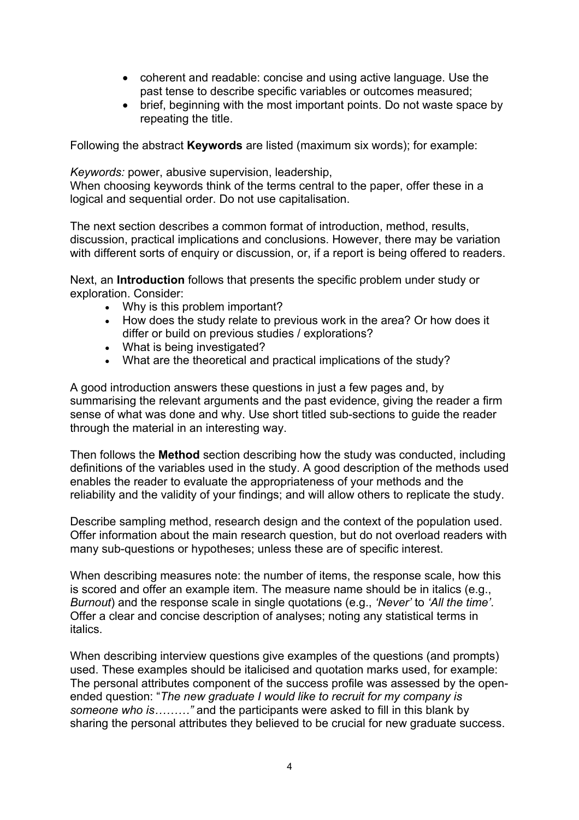- coherent and readable: concise and using active language. Use the past tense to describe specific variables or outcomes measured;
- brief, beginning with the most important points. Do not waste space by repeating the title.

Following the abstract **Keywords** are listed (maximum six words); for example:

*Keywords:* power, abusive supervision, leadership, When choosing keywords think of the terms central to the paper, offer these in a logical and sequential order. Do not use capitalisation.

The next section describes a common format of introduction, method, results, discussion, practical implications and conclusions. However, there may be variation with different sorts of enquiry or discussion, or, if a report is being offered to readers.

Next, an **Introduction** follows that presents the specific problem under study or exploration. Consider:

- Why is this problem important?
- How does the study relate to previous work in the area? Or how does it differ or build on previous studies / explorations?
- What is being investigated?
- What are the theoretical and practical implications of the study?

A good introduction answers these questions in just a few pages and, by summarising the relevant arguments and the past evidence, giving the reader a firm sense of what was done and why. Use short titled sub-sections to guide the reader through the material in an interesting way.

Then follows the **Method** section describing how the study was conducted, including definitions of the variables used in the study. A good description of the methods used enables the reader to evaluate the appropriateness of your methods and the reliability and the validity of your findings; and will allow others to replicate the study.

Describe sampling method, research design and the context of the population used. Offer information about the main research question, but do not overload readers with many sub-questions or hypotheses; unless these are of specific interest.

When describing measures note: the number of items, the response scale, how this is scored and offer an example item. The measure name should be in italics (e.g., *Burnout*) and the response scale in single quotations (e.g., *'Never'* to *'All the time'*. Offer a clear and concise description of analyses; noting any statistical terms in italics.

When describing interview questions give examples of the questions (and prompts) used. These examples should be italicised and quotation marks used, for example: The personal attributes component of the success profile was assessed by the openended question: "*The new graduate I would like to recruit for my company is someone who is………"* and the participants were asked to fill in this blank by sharing the personal attributes they believed to be crucial for new graduate success.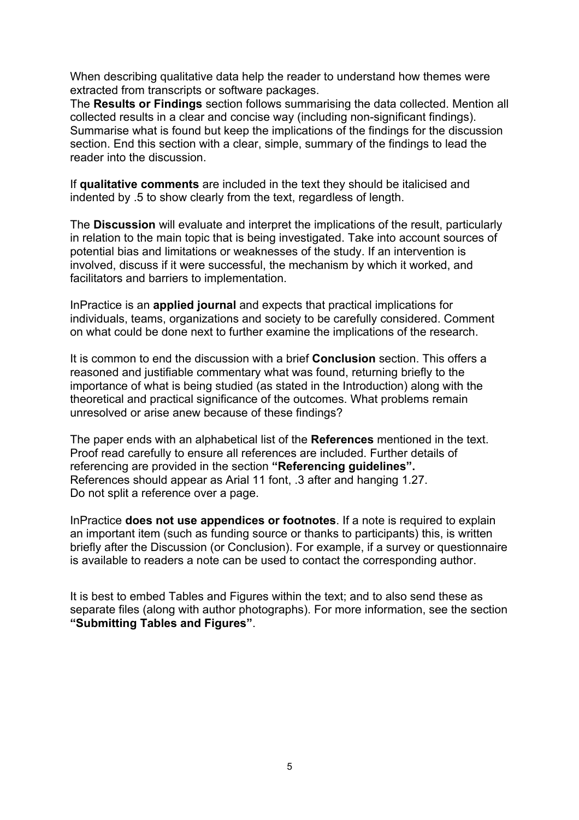When describing qualitative data help the reader to understand how themes were extracted from transcripts or software packages.

The **Results or Findings** section follows summarising the data collected. Mention all collected results in a clear and concise way (including non-significant findings). Summarise what is found but keep the implications of the findings for the discussion section. End this section with a clear, simple, summary of the findings to lead the reader into the discussion.

If **qualitative comments** are included in the text they should be italicised and indented by .5 to show clearly from the text, regardless of length.

The **Discussion** will evaluate and interpret the implications of the result, particularly in relation to the main topic that is being investigated. Take into account sources of potential bias and limitations or weaknesses of the study. If an intervention is involved, discuss if it were successful, the mechanism by which it worked, and facilitators and barriers to implementation.

InPractice is an **applied journal** and expects that practical implications for individuals, teams, organizations and society to be carefully considered. Comment on what could be done next to further examine the implications of the research.

It is common to end the discussion with a brief **Conclusion** section. This offers a reasoned and justifiable commentary what was found, returning briefly to the importance of what is being studied (as stated in the Introduction) along with the theoretical and practical significance of the outcomes. What problems remain unresolved or arise anew because of these findings?

The paper ends with an alphabetical list of the **References** mentioned in the text. Proof read carefully to ensure all references are included. Further details of referencing are provided in the section **"Referencing guidelines".** References should appear as Arial 11 font, .3 after and hanging 1.27. Do not split a reference over a page.

InPractice **does not use appendices or footnotes**. If a note is required to explain an important item (such as funding source or thanks to participants) this, is written briefly after the Discussion (or Conclusion). For example, if a survey or questionnaire is available to readers a note can be used to contact the corresponding author.

It is best to embed Tables and Figures within the text; and to also send these as separate files (along with author photographs). For more information, see the section **"Submitting Tables and Figures"**.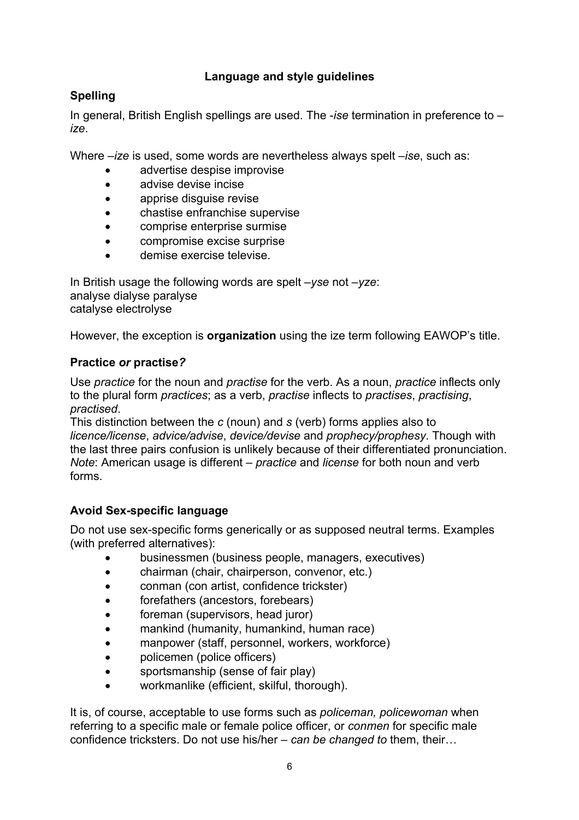# **Language and style guidelines**

# **Spelling**

In general, British English spellings are used. The -*ise* termination in preference to – *ize*.

Where –*ize* is used, some words are nevertheless always spelt –*ise*, such as:

- advertise despise improvise
- advise devise incise
- apprise disguise revise
- chastise enfranchise supervise
- comprise enterprise surmise
- compromise excise surprise
- demise exercise televise.

In British usage the following words are spelt *–yse* not *–yze*: analyse dialyse paralyse catalyse electrolyse

However, the exception is **organization** using the ize term following EAWOP's title.

# **Practice** *or* **practise***?*

Use *practice* for the noun and *practise* for the verb. As a noun, *practice* inflects only to the plural form *practices*; as a verb, *practise* inflects to *practises*, *practising*, *practised*.

This distinction between the *c* (noun) and *s* (verb) forms applies also to *licence/license*, *advice/advise*, *device/devise* and *prophecy/prophesy*. Though with the last three pairs confusion is unlikely because of their differentiated pronunciation. *Note*: American usage is different – *practice* and *license* for both noun and verb forms.

# **Avoid Sex-specific language**

Do not use sex-specific forms generically or as supposed neutral terms. Examples (with preferred alternatives):

- businessmen (business people, managers, executives)
- chairman (chair, chairperson, convenor, etc.)
- conman (con artist, confidence trickster)
- forefathers (ancestors, forebears)
- foreman (supervisors, head juror)
- mankind (humanity, humankind, human race)
- manpower (staff, personnel, workers, workforce)
- policemen (police officers)
- sportsmanship (sense of fair play)
- workmanlike (efficient, skilful, thorough).

It is, of course, acceptable to use forms such as *policeman, policewoman* when referring to a specific male or female police officer, or *conmen* for specific male confidence tricksters. Do not use his/her – *can be changed to* them, their…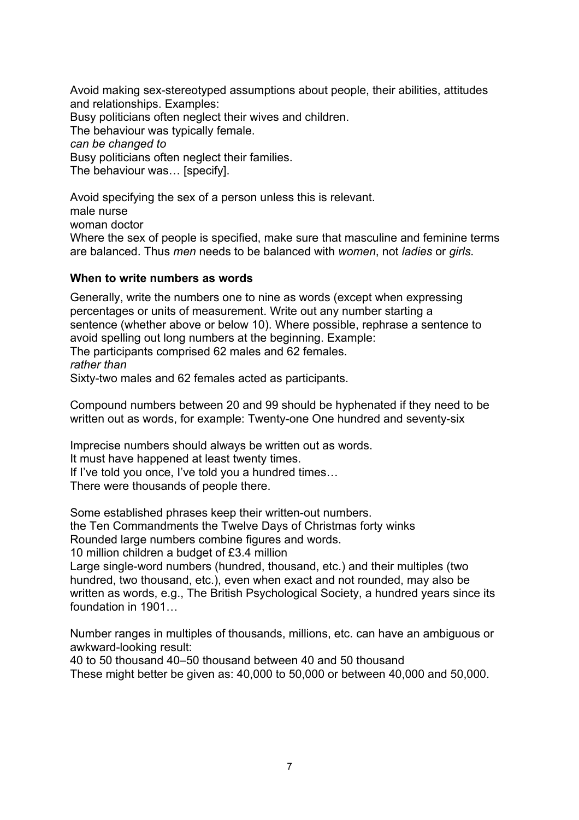Avoid making sex-stereotyped assumptions about people, their abilities, attitudes and relationships. Examples: Busy politicians often neglect their wives and children. The behaviour was typically female. *can be changed to* Busy politicians often neglect their families. The behaviour was… [specify].

Avoid specifying the sex of a person unless this is relevant. male nurse woman doctor Where the sex of people is specified, make sure that masculine and feminine terms are balanced. Thus *men* needs to be balanced with *women*, not *ladies* or *girls*.

### **When to write numbers as words**

Generally, write the numbers one to nine as words (except when expressing percentages or units of measurement. Write out any number starting a sentence (whether above or below 10). Where possible, rephrase a sentence to avoid spelling out long numbers at the beginning. Example: The participants comprised 62 males and 62 females. *rather than* Sixty-two males and 62 females acted as participants.

Compound numbers between 20 and 99 should be hyphenated if they need to be written out as words, for example: Twenty-one One hundred and seventy-six

Imprecise numbers should always be written out as words.

It must have happened at least twenty times.

If I've told you once, I've told you a hundred times…

There were thousands of people there.

Some established phrases keep their written-out numbers. the Ten Commandments the Twelve Days of Christmas forty winks Rounded large numbers combine figures and words.

10 million children a budget of £3.4 million

Large single-word numbers (hundred, thousand, etc.) and their multiples (two hundred, two thousand, etc.), even when exact and not rounded, may also be written as words, e.g., The British Psychological Society, a hundred years since its foundation in 1901…

Number ranges in multiples of thousands, millions, etc. can have an ambiguous or awkward-looking result:

40 to 50 thousand 40–50 thousand between 40 and 50 thousand

These might better be given as: 40,000 to 50,000 or between 40,000 and 50,000.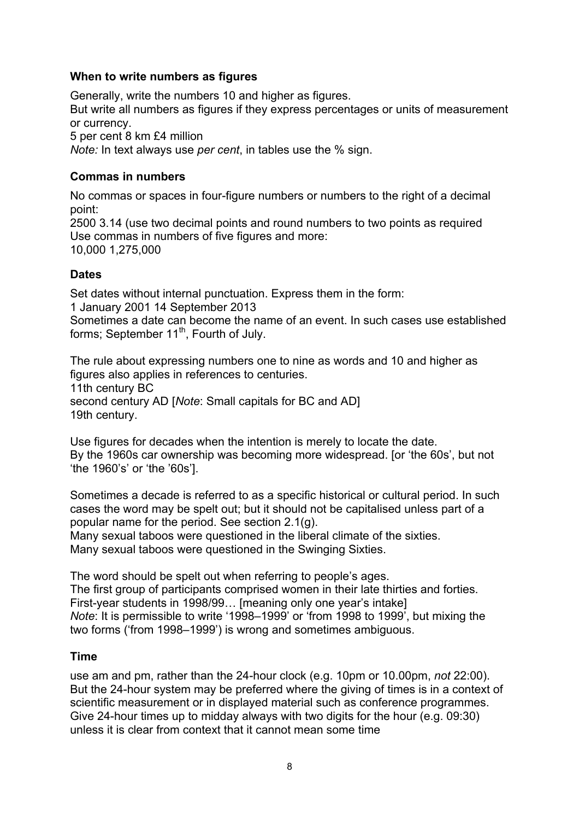## **When to write numbers as figures**

Generally, write the numbers 10 and higher as figures.

But write all numbers as figures if they express percentages or units of measurement or currency.

5 per cent 8 km £4 million

*Note:* In text always use *per cent*, in tables use the % sign.

# **Commas in numbers**

No commas or spaces in four-figure numbers or numbers to the right of a decimal point:

2500 3.14 (use two decimal points and round numbers to two points as required Use commas in numbers of five figures and more: 10,000 1,275,000

# **Dates**

Set dates without internal punctuation. Express them in the form: 1 January 2001 14 September 2013

Sometimes a date can become the name of an event. In such cases use established forms; September 11<sup>th</sup>, Fourth of July.

The rule about expressing numbers one to nine as words and 10 and higher as figures also applies in references to centuries. 11th century BC second century AD [*Note*: Small capitals for BC and AD] 19th century.

Use figures for decades when the intention is merely to locate the date. By the 1960s car ownership was becoming more widespread. [or 'the 60s', but not 'the 1960's' or 'the '60s'].

Sometimes a decade is referred to as a specific historical or cultural period. In such cases the word may be spelt out; but it should not be capitalised unless part of a popular name for the period. See section 2.1(g).

Many sexual taboos were questioned in the liberal climate of the sixties. Many sexual taboos were questioned in the Swinging Sixties.

The word should be spelt out when referring to people's ages. The first group of participants comprised women in their late thirties and forties. First-year students in 1998/99... Imeaning only one year's intakel *Note*: It is permissible to write '1998–1999' or 'from 1998 to 1999', but mixing the two forms ('from 1998–1999') is wrong and sometimes ambiguous.

### **Time**

use am and pm, rather than the 24-hour clock (e.g. 10pm or 10.00pm, *not* 22:00). But the 24-hour system may be preferred where the giving of times is in a context of scientific measurement or in displayed material such as conference programmes. Give 24-hour times up to midday always with two digits for the hour (e.g. 09:30) unless it is clear from context that it cannot mean some time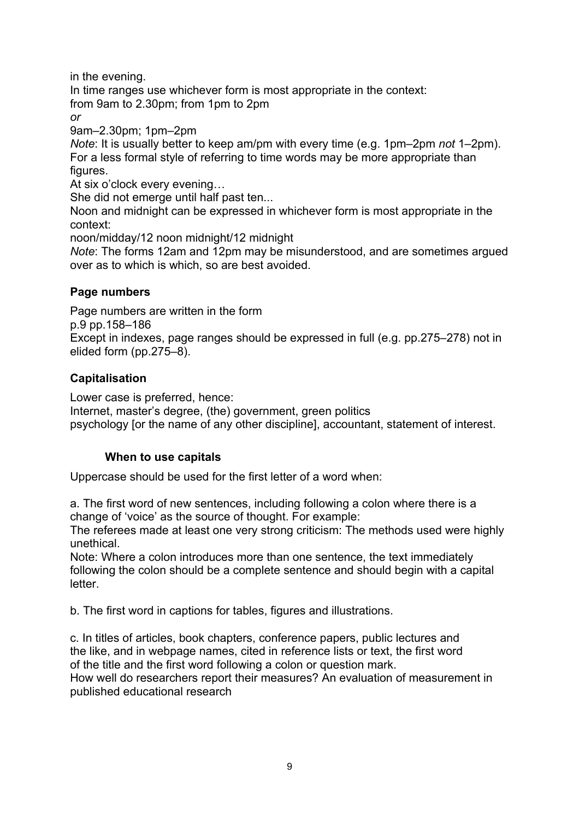in the evening.

In time ranges use whichever form is most appropriate in the context: from 9am to 2.30pm; from 1pm to 2pm

*or*

9am–2.30pm; 1pm–2pm

*Note*: It is usually better to keep am/pm with every time (e.g. 1pm–2pm *not* 1–2pm). For a less formal style of referring to time words may be more appropriate than figures.

At six o'clock every evening…

She did not emerge until half past ten...

Noon and midnight can be expressed in whichever form is most appropriate in the context:

noon/midday/12 noon midnight/12 midnight

*Note*: The forms 12am and 12pm may be misunderstood, and are sometimes argued over as to which is which, so are best avoided.

# **Page numbers**

Page numbers are written in the form

p.9 pp.158–186

Except in indexes, page ranges should be expressed in full (e.g. pp.275–278) not in elided form (pp.275–8).

# **Capitalisation**

Lower case is preferred, hence:

Internet, master's degree, (the) government, green politics psychology [or the name of any other discipline], accountant, statement of interest.

### **When to use capitals**

Uppercase should be used for the first letter of a word when:

a. The first word of new sentences, including following a colon where there is a change of 'voice' as the source of thought. For example:

The referees made at least one very strong criticism: The methods used were highly unethical.

Note: Where a colon introduces more than one sentence, the text immediately following the colon should be a complete sentence and should begin with a capital letter.

b. The first word in captions for tables, figures and illustrations.

c. In titles of articles, book chapters, conference papers, public lectures and the like, and in webpage names, cited in reference lists or text, the first word of the title and the first word following a colon or question mark.

How well do researchers report their measures? An evaluation of measurement in published educational research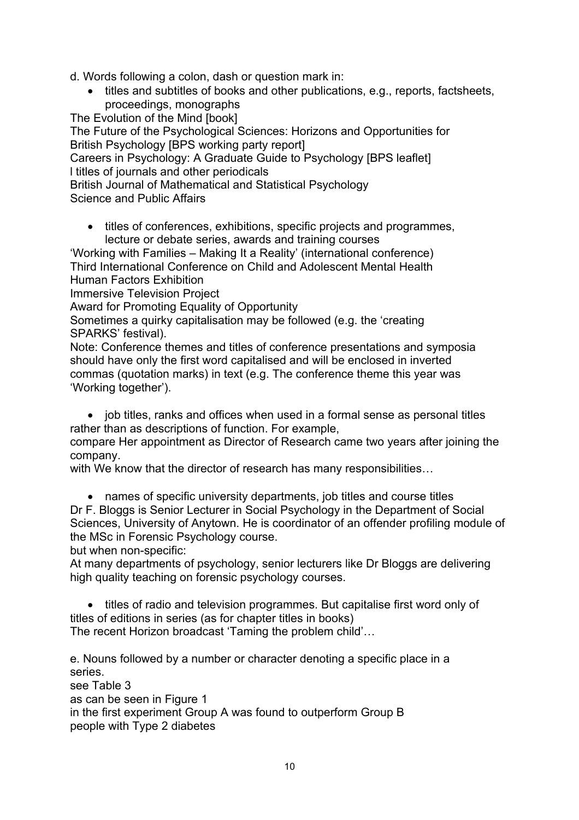d. Words following a colon, dash or question mark in:

• titles and subtitles of books and other publications, e.g., reports, factsheets, proceedings, monographs

The Evolution of the Mind [book]

The Future of the Psychological Sciences: Horizons and Opportunities for British Psychology [BPS working party report]

Careers in Psychology: A Graduate Guide to Psychology [BPS leaflet] l titles of journals and other periodicals

British Journal of Mathematical and Statistical Psychology

Science and Public Affairs

• titles of conferences, exhibitions, specific projects and programmes, lecture or debate series, awards and training courses

'Working with Families – Making It a Reality' (international conference) Third International Conference on Child and Adolescent Mental Health Human Factors Exhibition

Immersive Television Project

Award for Promoting Equality of Opportunity

Sometimes a quirky capitalisation may be followed (e.g. the 'creating SPARKS' festival).

Note: Conference themes and titles of conference presentations and symposia should have only the first word capitalised and will be enclosed in inverted commas (quotation marks) in text (e.g. The conference theme this year was 'Working together').

• job titles, ranks and offices when used in a formal sense as personal titles rather than as descriptions of function. For example,

compare Her appointment as Director of Research came two years after joining the company.

with We know that the director of research has many responsibilities…

• names of specific university departments, job titles and course titles

Dr F. Bloggs is Senior Lecturer in Social Psychology in the Department of Social Sciences, University of Anytown. He is coordinator of an offender profiling module of the MSc in Forensic Psychology course.

but when non-specific:

At many departments of psychology, senior lecturers like Dr Bloggs are delivering high quality teaching on forensic psychology courses.

• titles of radio and television programmes. But capitalise first word only of titles of editions in series (as for chapter titles in books) The recent Horizon broadcast 'Taming the problem child'…

e. Nouns followed by a number or character denoting a specific place in a series.

see Table 3 as can be seen in Figure 1 in the first experiment Group A was found to outperform Group B people with Type 2 diabetes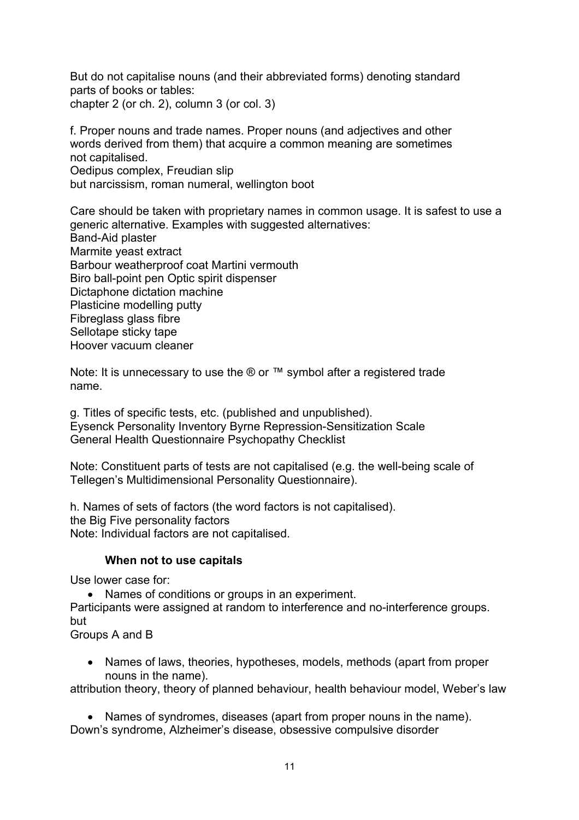But do not capitalise nouns (and their abbreviated forms) denoting standard parts of books or tables: chapter 2 (or ch. 2), column 3 (or col. 3)

f. Proper nouns and trade names. Proper nouns (and adjectives and other words derived from them) that acquire a common meaning are sometimes not capitalised. Oedipus complex, Freudian slip but narcissism, roman numeral, wellington boot

Care should be taken with proprietary names in common usage. It is safest to use a generic alternative. Examples with suggested alternatives: Band-Aid plaster Marmite yeast extract Barbour weatherproof coat Martini vermouth Biro ball-point pen Optic spirit dispenser Dictaphone dictation machine Plasticine modelling putty Fibreglass glass fibre Sellotape sticky tape Hoover vacuum cleaner

Note: It is unnecessary to use the ® or ™ symbol after a registered trade name.

g. Titles of specific tests, etc. (published and unpublished). Eysenck Personality Inventory Byrne Repression-Sensitization Scale General Health Questionnaire Psychopathy Checklist

Note: Constituent parts of tests are not capitalised (e.g. the well-being scale of Tellegen's Multidimensional Personality Questionnaire).

h. Names of sets of factors (the word factors is not capitalised). the Big Five personality factors Note: Individual factors are not capitalised.

### **When not to use capitals**

Use lower case for:

• Names of conditions or groups in an experiment.

Participants were assigned at random to interference and no-interference groups. but

Groups A and B

• Names of laws, theories, hypotheses, models, methods (apart from proper nouns in the name).

attribution theory, theory of planned behaviour, health behaviour model, Weber's law

• Names of syndromes, diseases (apart from proper nouns in the name). Down's syndrome, Alzheimer's disease, obsessive compulsive disorder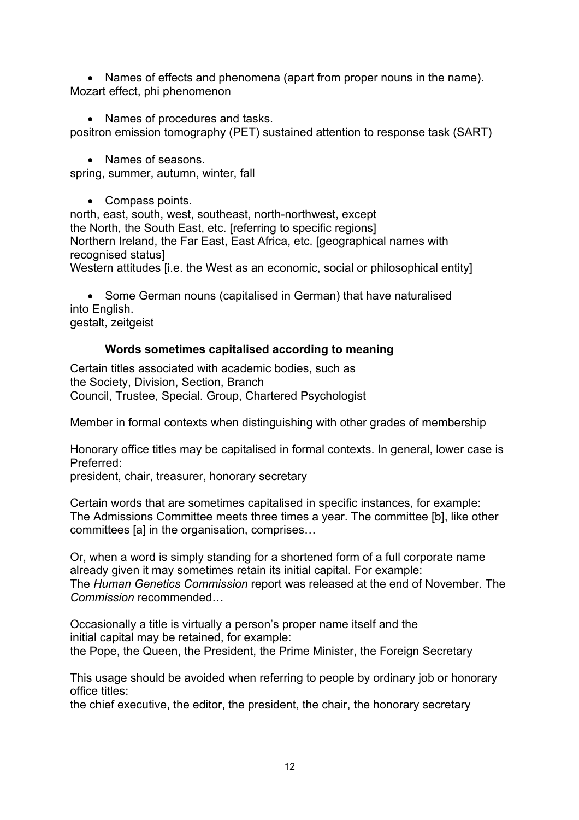• Names of effects and phenomena (apart from proper nouns in the name). Mozart effect, phi phenomenon

• Names of procedures and tasks.

positron emission tomography (PET) sustained attention to response task (SART)

• Names of seasons.

spring, summer, autumn, winter, fall

• Compass points.

north, east, south, west, southeast, north-northwest, except the North, the South East, etc. [referring to specific regions] Northern Ireland, the Far East, East Africa, etc. [geographical names with recognised status]

Western attitudes [i.e. the West as an economic, social or philosophical entity]

• Some German nouns (capitalised in German) that have naturalised into English. gestalt, zeitgeist

# **Words sometimes capitalised according to meaning**

Certain titles associated with academic bodies, such as the Society, Division, Section, Branch Council, Trustee, Special. Group, Chartered Psychologist

Member in formal contexts when distinguishing with other grades of membership

Honorary office titles may be capitalised in formal contexts. In general, lower case is Preferred:

president, chair, treasurer, honorary secretary

Certain words that are sometimes capitalised in specific instances, for example: The Admissions Committee meets three times a year. The committee [b], like other committees [a] in the organisation, comprises…

Or, when a word is simply standing for a shortened form of a full corporate name already given it may sometimes retain its initial capital. For example: The *Human Genetics Commission* report was released at the end of November. The *Commission* recommended…

Occasionally a title is virtually a person's proper name itself and the initial capital may be retained, for example: the Pope, the Queen, the President, the Prime Minister, the Foreign Secretary

This usage should be avoided when referring to people by ordinary job or honorary office titles:

the chief executive, the editor, the president, the chair, the honorary secretary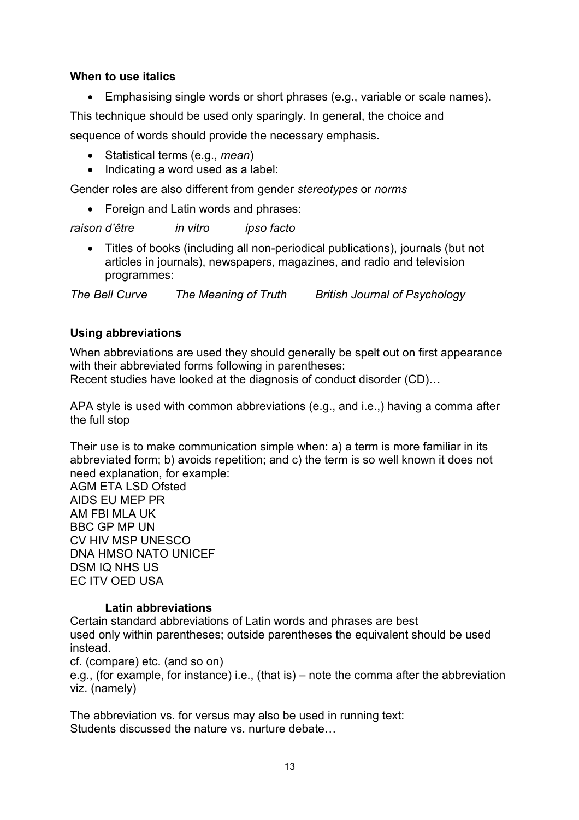### **When to use italics**

• Emphasising single words or short phrases (e.g., variable or scale names).

This technique should be used only sparingly. In general, the choice and

sequence of words should provide the necessary emphasis.

- Statistical terms (e.g., *mean*)
- Indicating a word used as a label:

Gender roles are also different from gender *stereotypes* or *norms*

• Foreign and Latin words and phrases:

*raison d'être in vitro ipso facto*

• Titles of books (including all non-periodical publications), journals (but not articles in journals), newspapers, magazines, and radio and television programmes:

*The Bell Curve The Meaning of Truth British Journal of Psychology*

### **Using abbreviations**

When abbreviations are used they should generally be spelt out on first appearance with their abbreviated forms following in parentheses: Recent studies have looked at the diagnosis of conduct disorder (CD)…

APA style is used with common abbreviations (e.g., and i.e.,) having a comma after the full stop

Their use is to make communication simple when: a) a term is more familiar in its abbreviated form; b) avoids repetition; and c) the term is so well known it does not need explanation, for example:

AGM ETA LSD Ofsted AIDS EU MEP PR AM FBI MLA UK BBC GP MP UN CV HIV MSP UNESCO DNA HMSO NATO UNICEF DSM IQ NHS US EC ITV OED USA

### **Latin abbreviations**

Certain standard abbreviations of Latin words and phrases are best used only within parentheses; outside parentheses the equivalent should be used instead.

cf. (compare) etc. (and so on)

e.g., (for example, for instance) i.e., (that is) – note the comma after the abbreviation viz. (namely)

The abbreviation vs. for versus may also be used in running text: Students discussed the nature vs. nurture debate…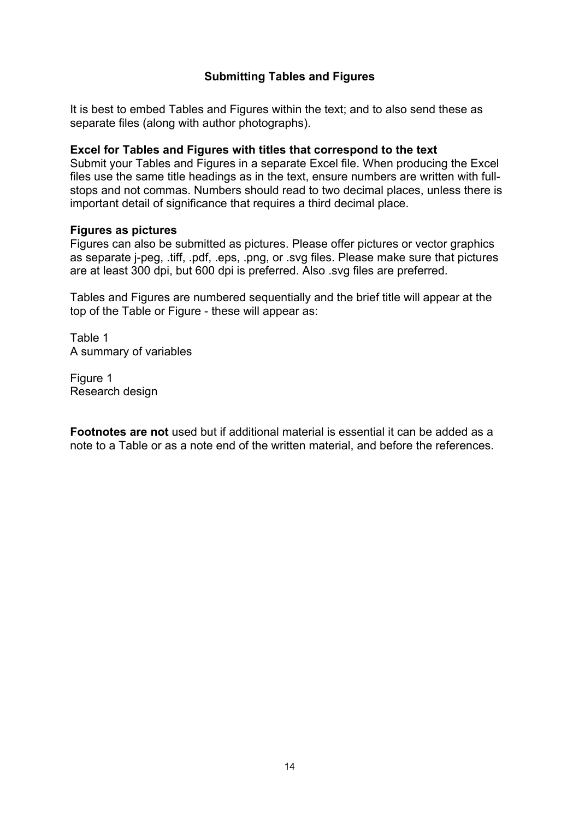# **Submitting Tables and Figures**

It is best to embed Tables and Figures within the text; and to also send these as separate files (along with author photographs).

### **Excel for Tables and Figures with titles that correspond to the text**

Submit your Tables and Figures in a separate Excel file. When producing the Excel files use the same title headings as in the text, ensure numbers are written with fullstops and not commas. Numbers should read to two decimal places, unless there is important detail of significance that requires a third decimal place.

#### **Figures as pictures**

Figures can also be submitted as pictures. Please offer pictures or vector graphics as separate j-peg, .tiff, .pdf, .eps, .png, or .svg files. Please make sure that pictures are at least 300 dpi, but 600 dpi is preferred. Also .svg files are preferred.

Tables and Figures are numbered sequentially and the brief title will appear at the top of the Table or Figure - these will appear as:

Table 1 A summary of variables

Figure 1 Research design

**Footnotes are not** used but if additional material is essential it can be added as a note to a Table or as a note end of the written material, and before the references.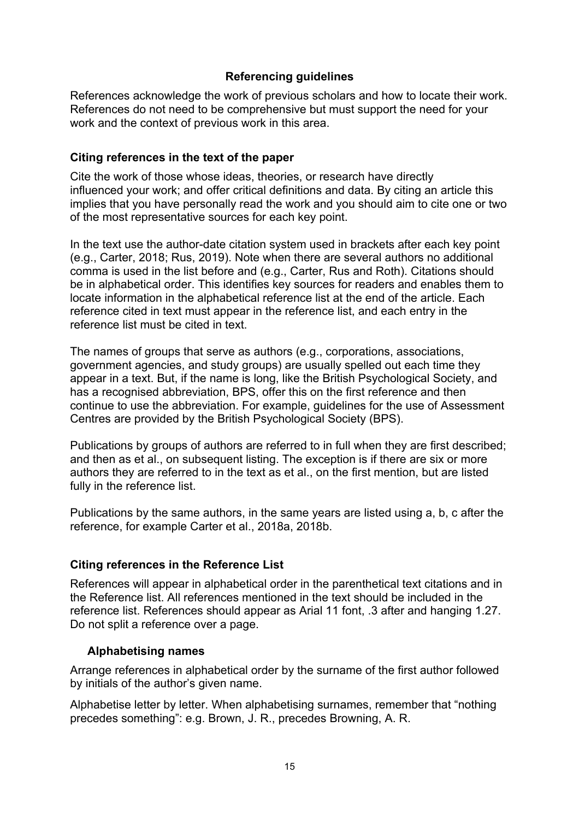## **Referencing guidelines**

References acknowledge the work of previous scholars and how to locate their work. References do not need to be comprehensive but must support the need for your work and the context of previous work in this area.

# **Citing references in the text of the paper**

Cite the work of those whose ideas, theories, or research have directly influenced your work; and offer critical definitions and data. By citing an article this implies that you have personally read the work and you should aim to cite one or two of the most representative sources for each key point.

In the text use the author-date citation system used in brackets after each key point (e.g., Carter, 2018; Rus, 2019). Note when there are several authors no additional comma is used in the list before and (e.g., Carter, Rus and Roth). Citations should be in alphabetical order. This identifies key sources for readers and enables them to locate information in the alphabetical reference list at the end of the article. Each reference cited in text must appear in the reference list, and each entry in the reference list must be cited in text.

The names of groups that serve as authors (e.g., corporations, associations, government agencies, and study groups) are usually spelled out each time they appear in a text. But, if the name is long, like the British Psychological Society, and has a recognised abbreviation, BPS, offer this on the first reference and then continue to use the abbreviation. For example, guidelines for the use of Assessment Centres are provided by the British Psychological Society (BPS).

Publications by groups of authors are referred to in full when they are first described; and then as et al., on subsequent listing. The exception is if there are six or more authors they are referred to in the text as et al., on the first mention, but are listed fully in the reference list.

Publications by the same authors, in the same years are listed using a, b, c after the reference, for example Carter et al., 2018a, 2018b.

### **Citing references in the Reference List**

References will appear in alphabetical order in the parenthetical text citations and in the Reference list. All references mentioned in the text should be included in the reference list. References should appear as Arial 11 font, .3 after and hanging 1.27. Do not split a reference over a page.

### **Alphabetising names**

Arrange references in alphabetical order by the surname of the first author followed by initials of the author's given name.

Alphabetise letter by letter. When alphabetising surnames, remember that "nothing precedes something": e.g. Brown, J. R., precedes Browning, A. R.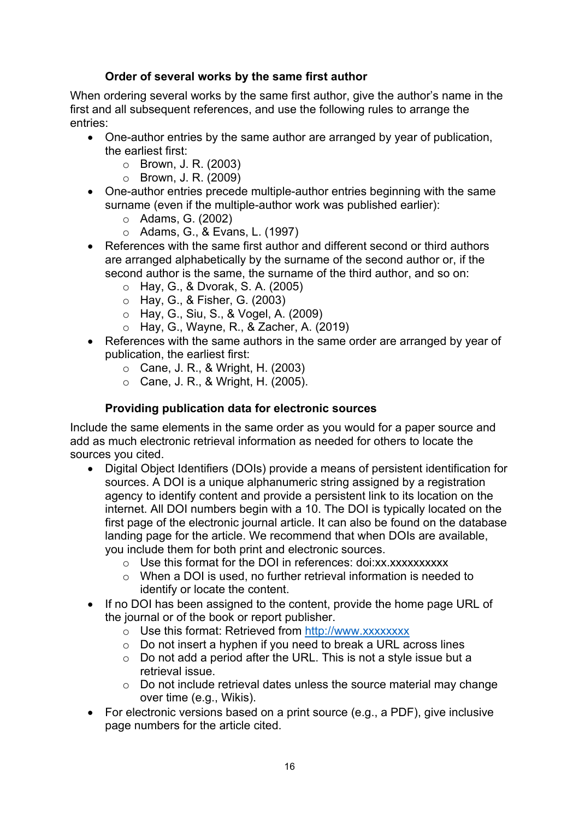# **Order of several works by the same first author**

When ordering several works by the same first author, give the author's name in the first and all subsequent references, and use the following rules to arrange the entries:

- One-author entries by the same author are arranged by year of publication, the earliest first:
	- o Brown, J. R. (2003)
	- o Brown, J. R. (2009)
- One-author entries precede multiple-author entries beginning with the same surname (even if the multiple-author work was published earlier):
	- o Adams, G. (2002)
	- o Adams, G., & Evans, L. (1997)
- References with the same first author and different second or third authors are arranged alphabetically by the surname of the second author or, if the second author is the same, the surname of the third author, and so on:
	- o Hay, G., & Dvorak, S. A. (2005)
	- o Hay, G., & Fisher, G. (2003)
	- o Hay, G., Siu, S., & Vogel, A. (2009)
	- o Hay, G., Wayne, R., & Zacher, A. (2019)
- References with the same authors in the same order are arranged by year of publication, the earliest first:
	- $\circ$  Cane, J. R., & Wright, H. (2003)
	- o Cane, J. R., & Wright, H. (2005).

# **Providing publication data for electronic sources**

Include the same elements in the same order as you would for a paper source and add as much electronic retrieval information as needed for others to locate the sources you cited.

- Digital Object Identifiers (DOIs) provide a means of persistent identification for sources. A DOI is a unique alphanumeric string assigned by a registration agency to identify content and provide a persistent link to its location on the internet. All DOI numbers begin with a 10. The DOI is typically located on the first page of the electronic journal article. It can also be found on the database landing page for the article. We recommend that when DOIs are available, you include them for both print and electronic sources.
	- o Use this format for the DOI in references: doi:xx.xxxxxxxxxx
	- o When a DOI is used, no further retrieval information is needed to identify or locate the content.
- If no DOI has been assigned to the content, provide the home page URL of the journal or of the book or report publisher.
	- o Use this format: Retrieved from http://www.xxxxxxxx
	- o Do not insert a hyphen if you need to break a URL across lines
	- o Do not add a period after the URL. This is not a style issue but a retrieval issue.
	- $\circ$  Do not include retrieval dates unless the source material may change over time (e.g., Wikis).
- For electronic versions based on a print source (e.g., a PDF), give inclusive page numbers for the article cited.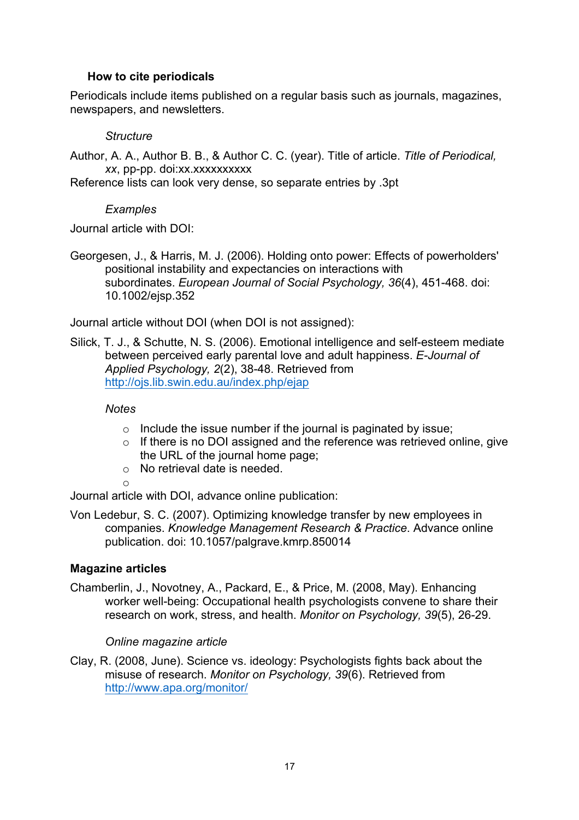# **How to cite periodicals**

Periodicals include items published on a regular basis such as journals, magazines, newspapers, and newsletters.

#### *Structure*

Author, A. A., Author B. B., & Author C. C. (year). Title of article. *Title of Periodical, xx*, pp-pp. doi:xx.xxxxxxxxxx

Reference lists can look very dense, so separate entries by .3pt

#### *Examples*

Journal article with DOI:

Georgesen, J., & Harris, M. J. (2006). Holding onto power: Effects of powerholders' positional instability and expectancies on interactions with subordinates. *European Journal of Social Psychology, 36*(4), 451-468. doi: 10.1002/ejsp.352

Journal article without DOI (when DOI is not assigned):

Silick, T. J., & Schutte, N. S. (2006). Emotional intelligence and self-esteem mediate between perceived early parental love and adult happiness. *E-Journal of Applied Psychology, 2*(2), 38-48. Retrieved from http://ojs.lib.swin.edu.au/index.php/ejap

*Notes*

- $\circ$  Include the issue number if the journal is paginated by issue;
- o If there is no DOI assigned and the reference was retrieved online, give the URL of the journal home page;
- o No retrieval date is needed.

o

Journal article with DOI, advance online publication:

Von Ledebur, S. C. (2007). Optimizing knowledge transfer by new employees in companies. *Knowledge Management Research & Practice*. Advance online publication. doi: 10.1057/palgrave.kmrp.850014

### **Magazine articles**

Chamberlin, J., Novotney, A., Packard, E., & Price, M. (2008, May). Enhancing worker well-being: Occupational health psychologists convene to share their research on work, stress, and health. *Monitor on Psychology, 39*(5), 26-29.

### *Online magazine article*

Clay, R. (2008, June). Science vs. ideology: Psychologists fights back about the misuse of research. *Monitor on Psychology, 39*(6). Retrieved from http://www.apa.org/monitor/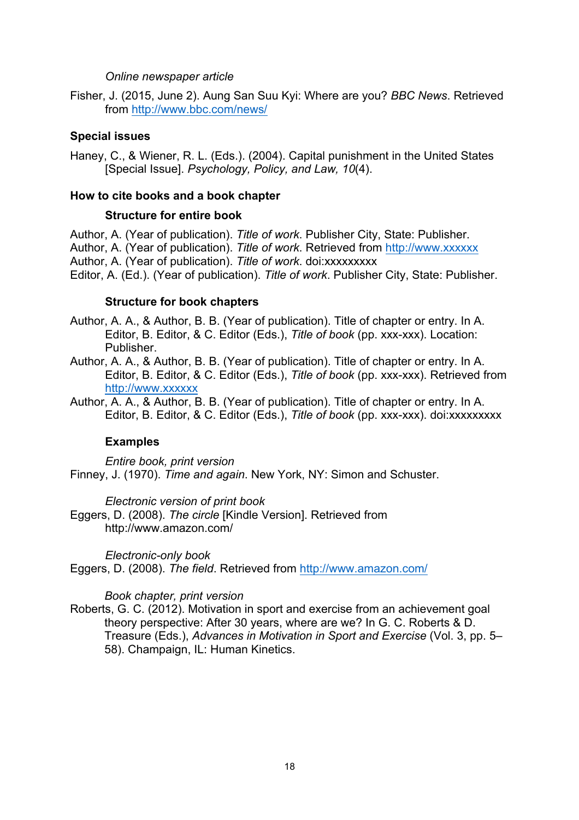#### *Online newspaper article*

Fisher, J. (2015, June 2). Aung San Suu Kyi: Where are you? *BBC News*. Retrieved from http://www.bbc.com/news/

#### **Special issues**

Haney, C., & Wiener, R. L. (Eds.). (2004). Capital punishment in the United States [Special Issue]. *Psychology, Policy, and Law, 10*(4).

#### **How to cite books and a book chapter**

#### **Structure for entire book**

Author, A. (Year of publication). *Title of work*. Publisher City, State: Publisher. Author, A. (Year of publication). *Title of work*. Retrieved from http://www.xxxxxx Author, A. (Year of publication). *Title of work*. doi:xxxxxxxxx Editor, A. (Ed.). (Year of publication). *Title of work*. Publisher City, State: Publisher.

#### **Structure for book chapters**

Author, A. A., & Author, B. B. (Year of publication). Title of chapter or entry. In A. Editor, B. Editor, & C. Editor (Eds.), *Title of book* (pp. xxx-xxx). Location: Publisher.

Author, A. A., & Author, B. B. (Year of publication). Title of chapter or entry. In A. Editor, B. Editor, & C. Editor (Eds.), *Title of book* (pp. xxx-xxx). Retrieved from http://www.xxxxxx

Author, A. A., & Author, B. B. (Year of publication). Title of chapter or entry. In A. Editor, B. Editor, & C. Editor (Eds.), *Title of book* (pp. xxx-xxx). doi:xxxxxxxxx

#### **Examples**

*Entire book, print version* Finney, J. (1970). *Time and again*. New York, NY: Simon and Schuster.

*Electronic version of print book*

Eggers, D. (2008). *The circle* [Kindle Version]. Retrieved from http://www.amazon.com/

*Electronic-only book*

Eggers, D. (2008). *The field*. Retrieved from http://www.amazon.com/

#### *Book chapter, print version*

Roberts, G. C. (2012). Motivation in sport and exercise from an achievement goal theory perspective: After 30 years, where are we? In G. C. Roberts & D. Treasure (Eds.), *Advances in Motivation in Sport and Exercise* (Vol. 3, pp. 5– 58). Champaign, IL: Human Kinetics.